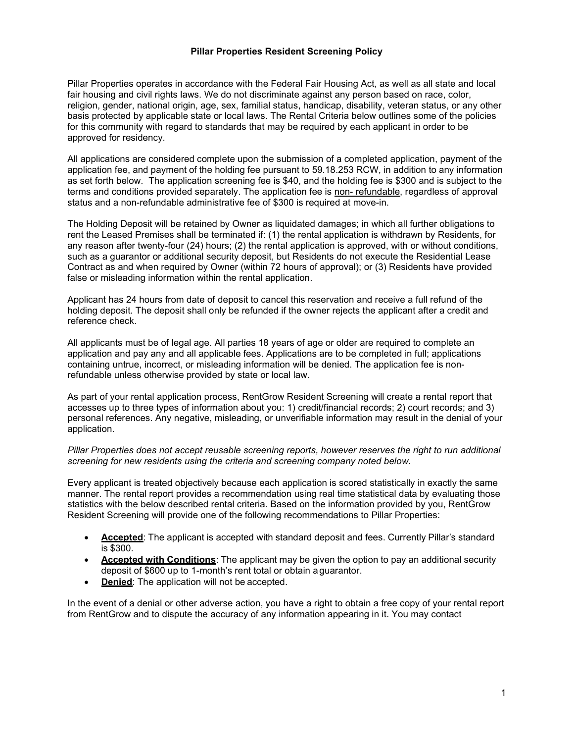## Pillar Properties Resident Screening Policy

Pillar Properties operates in accordance with the Federal Fair Housing Act, as well as all state and local fair housing and civil rights laws. We do not discriminate against any person based on race, color, religion, gender, national origin, age, sex, familial status, handicap, disability, veteran status, or any other basis protected by applicable state or local laws. The Rental Criteria below outlines some of the policies for this community with regard to standards that may be required by each applicant in order to be approved for residency.

All applications are considered complete upon the submission of a completed application, payment of the application fee, and payment of the holding fee pursuant to 59.18.253 RCW, in addition to any information as set forth below. The application screening fee is \$40, and the holding fee is \$300 and is subject to the terms and conditions provided separately. The application fee is non- refundable, regardless of approval status and a non-refundable administrative fee of \$300 is required at move-in.

The Holding Deposit will be retained by Owner as liquidated damages; in which all further obligations to rent the Leased Premises shall be terminated if: (1) the rental application is withdrawn by Residents, for any reason after twenty-four (24) hours; (2) the rental application is approved, with or without conditions, such as a guarantor or additional security deposit, but Residents do not execute the Residential Lease Contract as and when required by Owner (within 72 hours of approval); or (3) Residents have provided false or misleading information within the rental application.

Applicant has 24 hours from date of deposit to cancel this reservation and receive a full refund of the holding deposit. The deposit shall only be refunded if the owner rejects the applicant after a credit and reference check.

All applicants must be of legal age. All parties 18 years of age or older are required to complete an application and pay any and all applicable fees. Applications are to be completed in full; applications containing untrue, incorrect, or misleading information will be denied. The application fee is nonrefundable unless otherwise provided by state or local law.

As part of your rental application process, RentGrow Resident Screening will create a rental report that accesses up to three types of information about you: 1) credit/financial records; 2) court records; and 3) personal references. Any negative, misleading, or unverifiable information may result in the denial of your application.

## Pillar Properties does not accept reusable screening reports, however reserves the right to run additional screening for new residents using the criteria and screening company noted below.

Every applicant is treated objectively because each application is scored statistically in exactly the same manner. The rental report provides a recommendation using real time statistical data by evaluating those statistics with the below described rental criteria. Based on the information provided by you, RentGrow Resident Screening will provide one of the following recommendations to Pillar Properties:

- Accepted: The applicant is accepted with standard deposit and fees. Currently Pillar's standard is \$300.
- Accepted with Conditions: The applicant may be given the option to pay an additional security deposit of \$600 up to 1-month's rent total or obtain a guarantor.
- Denied: The application will not be accepted.

In the event of a denial or other adverse action, you have a right to obtain a free copy of your rental report from RentGrow and to dispute the accuracy of any information appearing in it. You may contact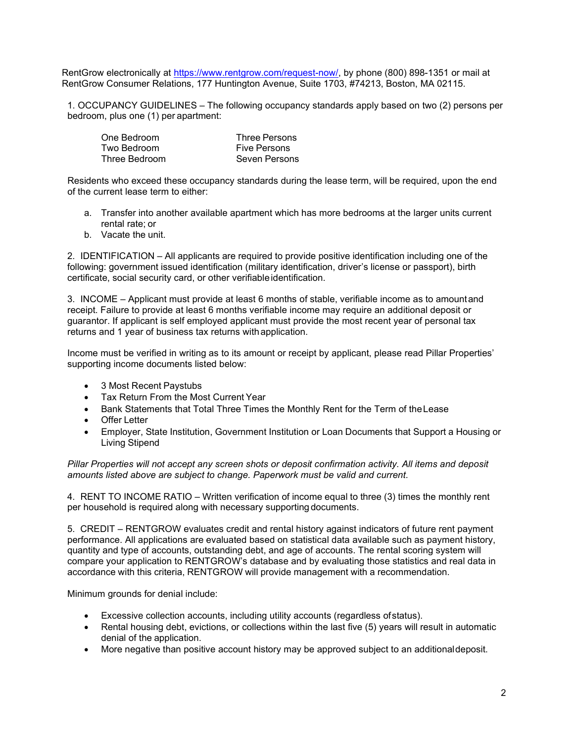RentGrow electronically at https://www.rentgrow.com/request-now/, by phone (800) 898-1351 or mail at RentGrow Consumer Relations, 177 Huntington Avenue, Suite 1703, #74213, Boston, MA 02115.

1. OCCUPANCY GUIDELINES – The following occupancy standards apply based on two (2) persons per bedroom, plus one (1) per apartment:

| One Bedroom   | Three Persons       |
|---------------|---------------------|
| Two Bedroom   | <b>Five Persons</b> |
| Three Bedroom | Seven Persons       |

Residents who exceed these occupancy standards during the lease term, will be required, upon the end of the current lease term to either:

- a. Transfer into another available apartment which has more bedrooms at the larger units current rental rate; or
- b. Vacate the unit.

2. IDENTIFICATION – All applicants are required to provide positive identification including one of the following: government issued identification (military identification, driver's license or passport), birth certificate, social security card, or other verifiable identification.

3. INCOME – Applicant must provide at least 6 months of stable, verifiable income as to amount and receipt. Failure to provide at least 6 months verifiable income may require an additional deposit or guarantor. If applicant is self employed applicant must provide the most recent year of personal tax returns and 1 year of business tax returns with application.

Income must be verified in writing as to its amount or receipt by applicant, please read Pillar Properties' supporting income documents listed below:

- 3 Most Recent Paystubs
- Tax Return From the Most Current Year
- Bank Statements that Total Three Times the Monthly Rent for the Term of the Lease
- Offer Letter
- Employer, State Institution, Government Institution or Loan Documents that Support a Housing or Living Stipend

Pillar Properties will not accept any screen shots or deposit confirmation activity. All items and deposit amounts listed above are subject to change. Paperwork must be valid and current.

4. RENT TO INCOME RATIO – Written verification of income equal to three (3) times the monthly rent per household is required along with necessary supporting documents.

5. CREDIT – RENTGROW evaluates credit and rental history against indicators of future rent payment performance. All applications are evaluated based on statistical data available such as payment history, quantity and type of accounts, outstanding debt, and age of accounts. The rental scoring system will compare your application to RENTGROW's database and by evaluating those statistics and real data in accordance with this criteria, RENTGROW will provide management with a recommendation.

Minimum grounds for denial include:

- Excessive collection accounts, including utility accounts (regardless of status).
- Rental housing debt, evictions, or collections within the last five (5) years will result in automatic denial of the application.
- More negative than positive account history may be approved subject to an additional deposit.